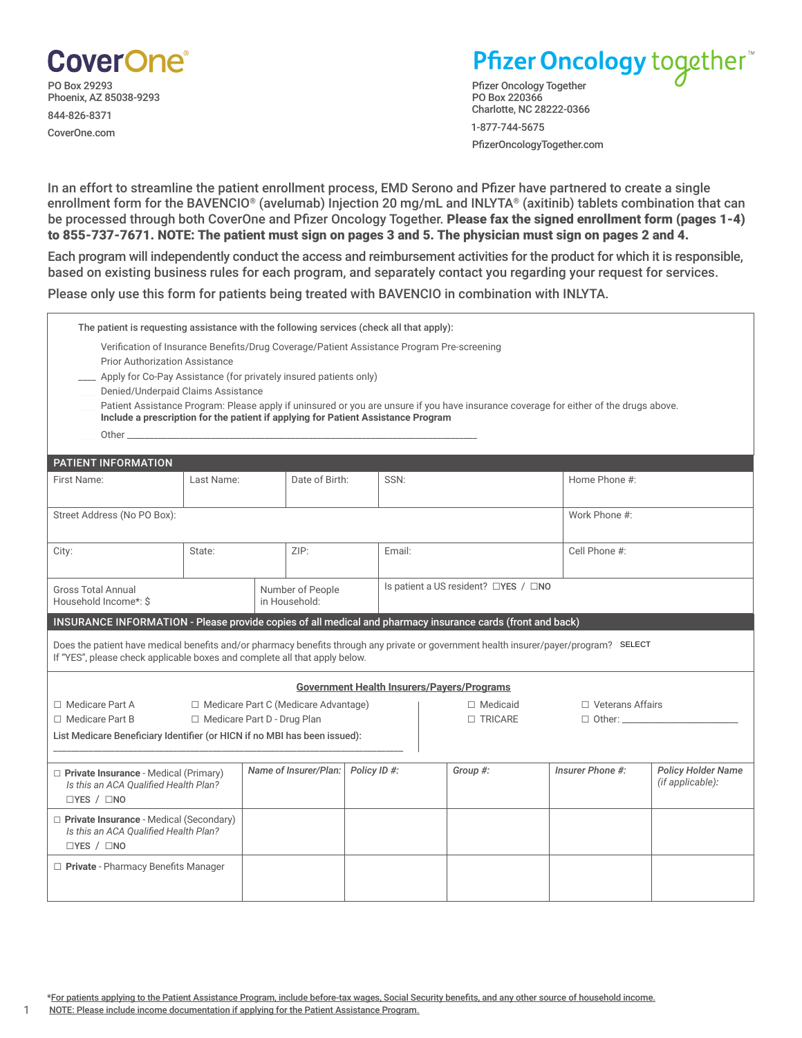

## Pfizer Oncology together<sup>\*\*</sup>

Pfizer Oncology Together PO Box 220366 Charlotte, NC 28222-0366

1-877-744-5675 PfizerOncologyTogether.com

In an effort to streamline the patient enrollment process, EMD Serono and Pfizer have partnered to create a single enrollment form for the BAVENCIO® (avelumab) Injection 20 mg/mL and INLYTA® (axitinib) tablets combination that can be processed through both CoverOne and Pfizer Oncology Together. Please fax the signed enrollment form (pages 1-4) to 855-737-7671. NOTE: The patient must sign on pages 3 and 5. The physician must sign on pages 2 and 4.

Each program will independently conduct the access and reimbursement activities for the product for which it is responsible, based on existing business rules for each program, and separately contact you regarding your request for services.

Please only use this form for patients being treated with BAVENCIO in combination with INLYTA.

| The patient is requesting assistance with the following services (check all that apply):                                                                                                                                       |            |  |                       |                                      |        |  |                |                                                                                                                                       |                                               |  |  |
|--------------------------------------------------------------------------------------------------------------------------------------------------------------------------------------------------------------------------------|------------|--|-----------------------|--------------------------------------|--------|--|----------------|---------------------------------------------------------------------------------------------------------------------------------------|-----------------------------------------------|--|--|
| Verification of Insurance Benefits/Drug Coverage/Patient Assistance Program Pre-screening                                                                                                                                      |            |  |                       |                                      |        |  |                |                                                                                                                                       |                                               |  |  |
| <b>Prior Authorization Assistance</b>                                                                                                                                                                                          |            |  |                       |                                      |        |  |                |                                                                                                                                       |                                               |  |  |
| Apply for Co-Pay Assistance (for privately insured patients only)<br>Denied/Underpaid Claims Assistance                                                                                                                        |            |  |                       |                                      |        |  |                |                                                                                                                                       |                                               |  |  |
|                                                                                                                                                                                                                                |            |  |                       |                                      |        |  |                | Patient Assistance Program: Please apply if uninsured or you are unsure if you have insurance coverage for either of the drugs above. |                                               |  |  |
| Include a prescription for the patient if applying for Patient Assistance Program                                                                                                                                              |            |  |                       |                                      |        |  |                |                                                                                                                                       |                                               |  |  |
| Other than the contract of the contract of the contract of the contract of the contract of the contract of the contract of the contract of the contract of the contract of the contract of the contract of the contract of the |            |  |                       |                                      |        |  |                |                                                                                                                                       |                                               |  |  |
| PATIENT INFORMATION                                                                                                                                                                                                            |            |  |                       |                                      |        |  |                |                                                                                                                                       |                                               |  |  |
| First Name:                                                                                                                                                                                                                    | Last Name: |  | Date of Birth:        |                                      | SSN:   |  |                | Home Phone #:                                                                                                                         |                                               |  |  |
|                                                                                                                                                                                                                                |            |  |                       |                                      |        |  |                |                                                                                                                                       |                                               |  |  |
| Street Address (No PO Box):                                                                                                                                                                                                    |            |  |                       |                                      |        |  |                | Work Phone #:                                                                                                                         |                                               |  |  |
|                                                                                                                                                                                                                                |            |  |                       |                                      |        |  |                |                                                                                                                                       |                                               |  |  |
| City:                                                                                                                                                                                                                          | State:     |  | ZIP:                  |                                      | Email: |  | Cell Phone #:  |                                                                                                                                       |                                               |  |  |
|                                                                                                                                                                                                                                |            |  |                       |                                      |        |  |                |                                                                                                                                       |                                               |  |  |
| <b>Gross Total Annual</b><br>Number of People                                                                                                                                                                                  |            |  |                       | Is patient a US resident? □YES / □NO |        |  |                |                                                                                                                                       |                                               |  |  |
| Household Income*: \$<br>in Household:                                                                                                                                                                                         |            |  |                       |                                      |        |  |                |                                                                                                                                       |                                               |  |  |
| INSURANCE INFORMATION - Please provide copies of all medical and pharmacy insurance cards (front and back)                                                                                                                     |            |  |                       |                                      |        |  |                |                                                                                                                                       |                                               |  |  |
| Does the patient have medical benefits and/or pharmacy benefits through any private or government health insurer/payer/program? 'SELECT                                                                                        |            |  |                       |                                      |        |  |                |                                                                                                                                       |                                               |  |  |
| If "YES", please check applicable boxes and complete all that apply below.                                                                                                                                                     |            |  |                       |                                      |        |  |                |                                                                                                                                       |                                               |  |  |
| <b>Government Health Insurers/Payers/Programs</b>                                                                                                                                                                              |            |  |                       |                                      |        |  |                |                                                                                                                                       |                                               |  |  |
| □ Medicare Part A<br>$\Box$ Medicare Part C (Medicare Advantage)                                                                                                                                                               |            |  |                       | $\Box$ Medicaid                      |        |  |                | $\Box$ Veterans Affairs                                                                                                               |                                               |  |  |
| □ Medicare Part D - Drug Plan<br>$\Box$ Medicare Part B                                                                                                                                                                        |            |  |                       |                                      |        |  | $\Box$ TRICARE |                                                                                                                                       |                                               |  |  |
| List Medicare Beneficiary Identifier (or HICN if no MBI has been issued):                                                                                                                                                      |            |  |                       |                                      |        |  |                |                                                                                                                                       |                                               |  |  |
|                                                                                                                                                                                                                                |            |  |                       |                                      |        |  |                |                                                                                                                                       |                                               |  |  |
| Private Insurance - Medical (Primary)<br>Is this an ACA Qualified Health Plan?                                                                                                                                                 |            |  | Name of Insurer/Plan: | Policy ID#:                          |        |  | Group #:       | Insurer Phone #:                                                                                                                      | <b>Policy Holder Name</b><br>(if applicable): |  |  |
| $\Box$ YES / $\Box$ NO                                                                                                                                                                                                         |            |  |                       |                                      |        |  |                |                                                                                                                                       |                                               |  |  |
| Private Insurance - Medical (Secondary)                                                                                                                                                                                        |            |  |                       |                                      |        |  |                |                                                                                                                                       |                                               |  |  |
| Is this an ACA Oualified Health Plan?                                                                                                                                                                                          |            |  |                       |                                      |        |  |                |                                                                                                                                       |                                               |  |  |
| $\Box$ YES / $\Box$ NO                                                                                                                                                                                                         |            |  |                       |                                      |        |  |                |                                                                                                                                       |                                               |  |  |
| Private - Pharmacy Benefits Manager                                                                                                                                                                                            |            |  |                       |                                      |        |  |                |                                                                                                                                       |                                               |  |  |
|                                                                                                                                                                                                                                |            |  |                       |                                      |        |  |                |                                                                                                                                       |                                               |  |  |

1 NOTE: Please include income documentation if applying for the Patient Assistance Program.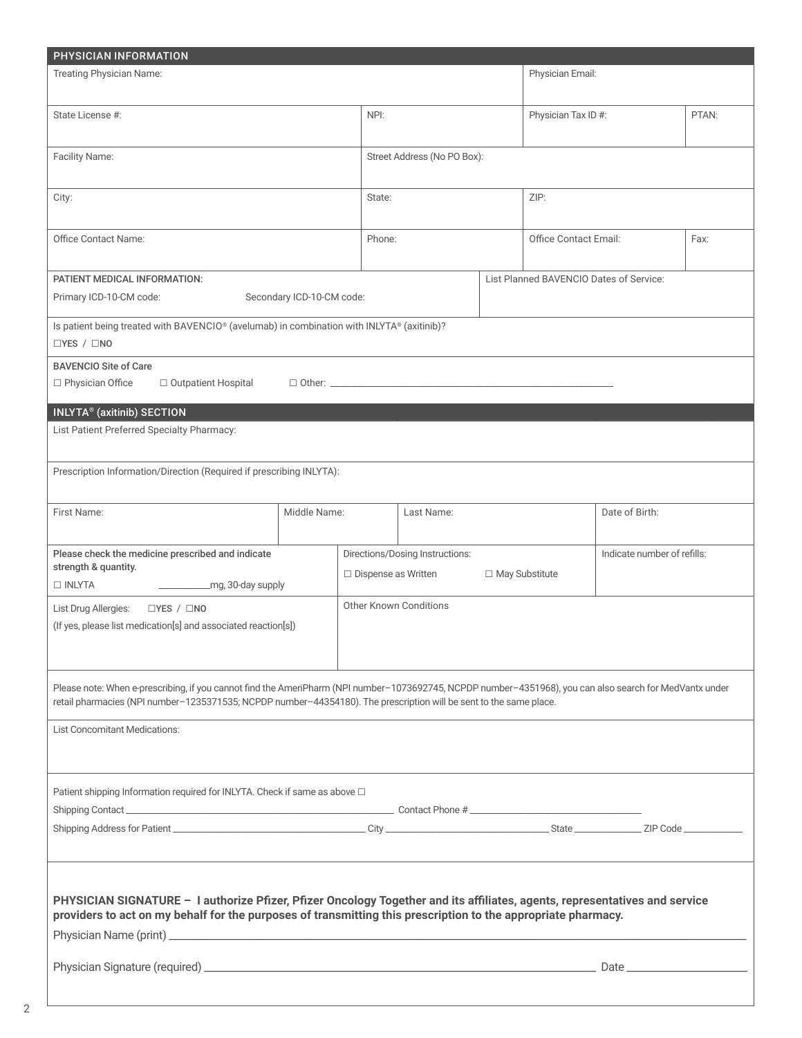| PHYSICIAN INFORMATION                                                                                                                                                                                                                                                          |                            |            |                                                               |                  |                                         |                             |       |  |
|--------------------------------------------------------------------------------------------------------------------------------------------------------------------------------------------------------------------------------------------------------------------------------|----------------------------|------------|---------------------------------------------------------------|------------------|-----------------------------------------|-----------------------------|-------|--|
| <b>Treating Physician Name:</b>                                                                                                                                                                                                                                                |                            |            |                                                               |                  | Physician Email:                        |                             |       |  |
| State License #:                                                                                                                                                                                                                                                               |                            |            |                                                               |                  | Physician Tax ID #:                     |                             | PTAN: |  |
| Facility Name:                                                                                                                                                                                                                                                                 |                            |            | Street Address (No PO Box):                                   |                  |                                         |                             |       |  |
| City:                                                                                                                                                                                                                                                                          |                            |            |                                                               |                  | ZIP:                                    |                             |       |  |
| <b>Office Contact Name:</b>                                                                                                                                                                                                                                                    |                            |            | Phone:                                                        |                  | <b>Office Contact Email:</b>            |                             | Fax:  |  |
| PATIENT MEDICAL INFORMATION:<br>Primary ICD-10-CM code:<br>Secondary ICD-10-CM code:                                                                                                                                                                                           |                            |            |                                                               |                  | List Planned BAVENCIO Dates of Service: |                             |       |  |
| Is patient being treated with BAVENCIO® (avelumab) in combination with INLYTA® (axitinib)?<br>$\Box$ YES / $\Box$ NO                                                                                                                                                           |                            |            |                                                               |                  |                                         |                             |       |  |
| <b>BAVENCIO Site of Care</b><br>□ Physician Office<br>□ Outpatient Hospital                                                                                                                                                                                                    | □ Other: _________________ |            |                                                               |                  |                                         |                             |       |  |
| INLYTA® (axitinib) SECTION                                                                                                                                                                                                                                                     |                            |            |                                                               |                  |                                         |                             |       |  |
| List Patient Preferred Specialty Pharmacy:                                                                                                                                                                                                                                     |                            |            |                                                               |                  |                                         |                             |       |  |
| Prescription Information/Direction (Required if prescribing INLYTA):                                                                                                                                                                                                           |                            |            |                                                               |                  |                                         |                             |       |  |
| First Name:                                                                                                                                                                                                                                                                    | Middle Name:               | Last Name: |                                                               |                  |                                         | Date of Birth:              |       |  |
| Please check the medicine prescribed and indicate<br>strength & quantity.                                                                                                                                                                                                      |                            |            | Directions/Dosing Instructions:<br>$\Box$ Dispense as Written | □ May Substitute |                                         | Indicate number of refills: |       |  |
| □ INLYTA<br>- _________________mg, 30-day supply                                                                                                                                                                                                                               |                            |            |                                                               |                  |                                         |                             |       |  |
| List Drug Allergies:<br>$\Box$ YES / $\Box$ NO<br>(If yes, please list medication[s] and associated reaction[s])                                                                                                                                                               |                            |            | Other Known Conditions                                        |                  |                                         |                             |       |  |
| Please note: When e-prescribing, if you cannot find the AmeriPharm (NPI number-1073692745, NCPDP number-4351968), you can also search for MedVantx under<br>retail pharmacies (NPI number-1235371535; NCPDP number-44354180). The prescription will be sent to the same place. |                            |            |                                                               |                  |                                         |                             |       |  |
| <b>List Concomitant Medications:</b>                                                                                                                                                                                                                                           |                            |            |                                                               |                  |                                         |                             |       |  |
| Patient shipping Information required for INLYTA. Check if same as above $\Box$                                                                                                                                                                                                |                            |            |                                                               |                  |                                         |                             |       |  |
|                                                                                                                                                                                                                                                                                |                            |            |                                                               |                  |                                         |                             |       |  |
| PHYSICIAN SIGNATURE - I authorize Pfizer, Pfizer Oncology Together and its affiliates, agents, representatives and service<br>providers to act on my behalf for the purposes of transmitting this prescription to the appropriate pharmacy.                                    |                            |            |                                                               |                  |                                         |                             |       |  |
|                                                                                                                                                                                                                                                                                |                            |            |                                                               |                  |                                         |                             |       |  |

2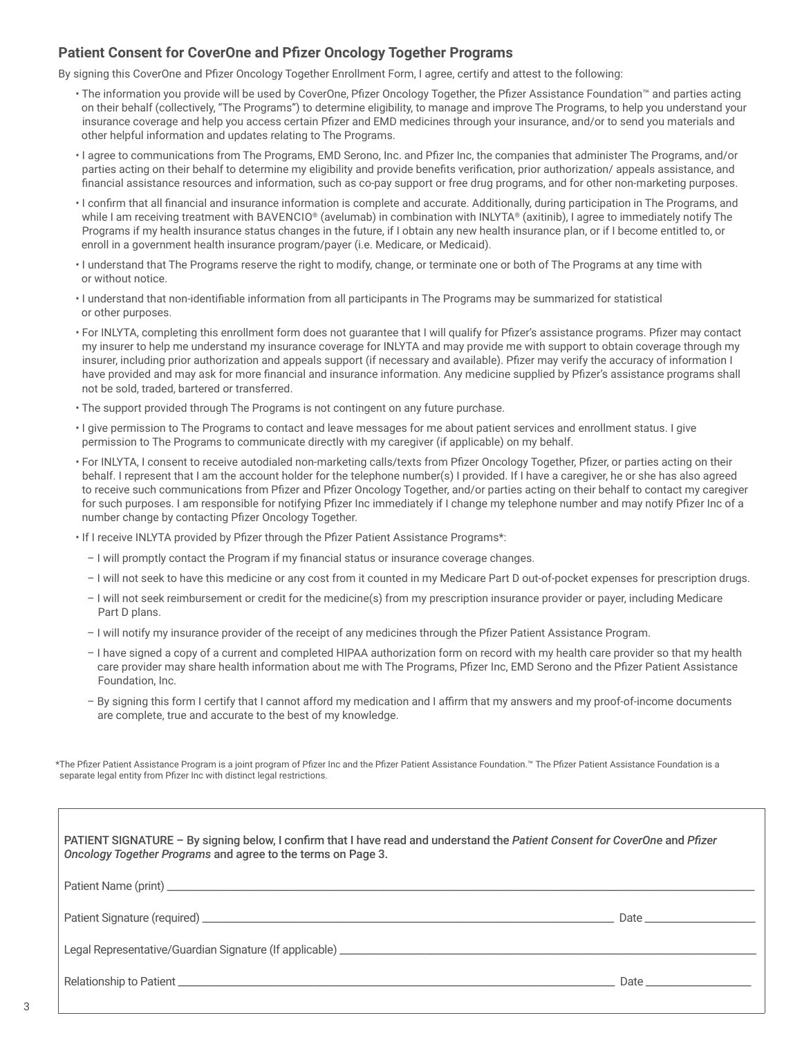## **Patient Consent for CoverOne and Pfizer Oncology Together Programs**

By signing this CoverOne and Pfizer Oncology Together Enrollment Form, I agree, certify and attest to the following:

- The information you provide will be used by CoverOne, Pfizer Oncology Together, the Pfizer Assistance Foundation™ and parties acting on their behalf (collectively, "The Programs") to determine eligibility, to manage and improve The Programs, to help you understand your insurance coverage and help you access certain Pfizer and EMD medicines through your insurance, and/or to send you materials and other helpful information and updates relating to The Programs.
- I agree to communications from The Programs, EMD Serono, Inc. and Pfizer Inc, the companies that administer The Programs, and/or parties acting on their behalf to determine my eligibility and provide benefits verification, prior authorization/ appeals assistance, and financial assistance resources and information, such as co-pay support or free drug programs, and for other non-marketing purposes.
- I confirm that all financial and insurance information is complete and accurate. Additionally, during participation in The Programs, and while I am receiving treatment with BAVENCIO® (avelumab) in combination with INLYTA® (axitinib), I agree to immediately notify The Programs if my health insurance status changes in the future, if I obtain any new health insurance plan, or if I become entitled to, or enroll in a government health insurance program/payer (i.e. Medicare, or Medicaid).
- I understand that The Programs reserve the right to modify, change, or terminate one or both of The Programs at any time with or without notice.
- I understand that non-identifiable information from all participants in The Programs may be summarized for statistical or other purposes.
- For INLYTA, completing this enrollment form does not guarantee that I will qualify for Pfizer's assistance programs. Pfizer may contact my insurer to help me understand my insurance coverage for INLYTA and may provide me with support to obtain coverage through my insurer, including prior authorization and appeals support (if necessary and available). Pfizer may verify the accuracy of information I have provided and may ask for more financial and insurance information. Any medicine supplied by Pfizer's assistance programs shall not be sold, traded, bartered or transferred.
- The support provided through The Programs is not contingent on any future purchase.
- I give permission to The Programs to contact and leave messages for me about patient services and enrollment status. I give permission to The Programs to communicate directly with my caregiver (if applicable) on my behalf.
- For INLYTA, I consent to receive autodialed non-marketing calls/texts from Pfizer Oncology Together, Pfizer, or parties acting on their behalf. I represent that I am the account holder for the telephone number(s) I provided. If I have a caregiver, he or she has also agreed to receive such communications from Pfizer and Pfizer Oncology Together, and/or parties acting on their behalf to contact my caregiver for such purposes. I am responsible for notifying Pfizer Inc immediately if I change my telephone number and may notify Pfizer Inc of a number change by contacting Pfizer Oncology Together.
- If I receive INLYTA provided by Pfizer through the Pfizer Patient Assistance Programs\*:
	- I will promptly contact the Program if my financial status or insurance coverage changes.
	- I will not seek to have this medicine or any cost from it counted in my Medicare Part D out-of-pocket expenses for prescription drugs.
	- I will not seek reimbursement or credit for the medicine(s) from my prescription insurance provider or payer, including Medicare Part D plans.
	- I will notify my insurance provider of the receipt of any medicines through the Pfizer Patient Assistance Program.
	- I have signed a copy of a current and completed HIPAA authorization form on record with my health care provider so that my health care provider may share health information about me with The Programs, Pfizer Inc, EMD Serono and the Pfizer Patient Assistance Foundation, Inc.
	- By signing this form I certify that I cannot afford my medication and I affirm that my answers and my proof-of-income documents are complete, true and accurate to the best of my knowledge.

\*The Pfizer Patient Assistance Program is a joint program of Pfizer Inc and the Pfizer Patient Assistance Foundation.™ The Pfizer Patient Assistance Foundation is a separate legal entity from Pfizer Inc with distinct legal restrictions.

| PATIENT SIGNATURE - By signing below, I confirm that I have read and understand the Patient Consent for CoverOne and Pfizer<br>Oncology Together Programs and agree to the terms on Page 3. |                                                                                                                                                                                                                                |  |  |  |
|---------------------------------------------------------------------------------------------------------------------------------------------------------------------------------------------|--------------------------------------------------------------------------------------------------------------------------------------------------------------------------------------------------------------------------------|--|--|--|
|                                                                                                                                                                                             |                                                                                                                                                                                                                                |  |  |  |
|                                                                                                                                                                                             |                                                                                                                                                                                                                                |  |  |  |
|                                                                                                                                                                                             |                                                                                                                                                                                                                                |  |  |  |
|                                                                                                                                                                                             | Date and the contract of the contract of the contract of the contract of the contract of the contract of the contract of the contract of the contract of the contract of the contract of the contract of the contract of the c |  |  |  |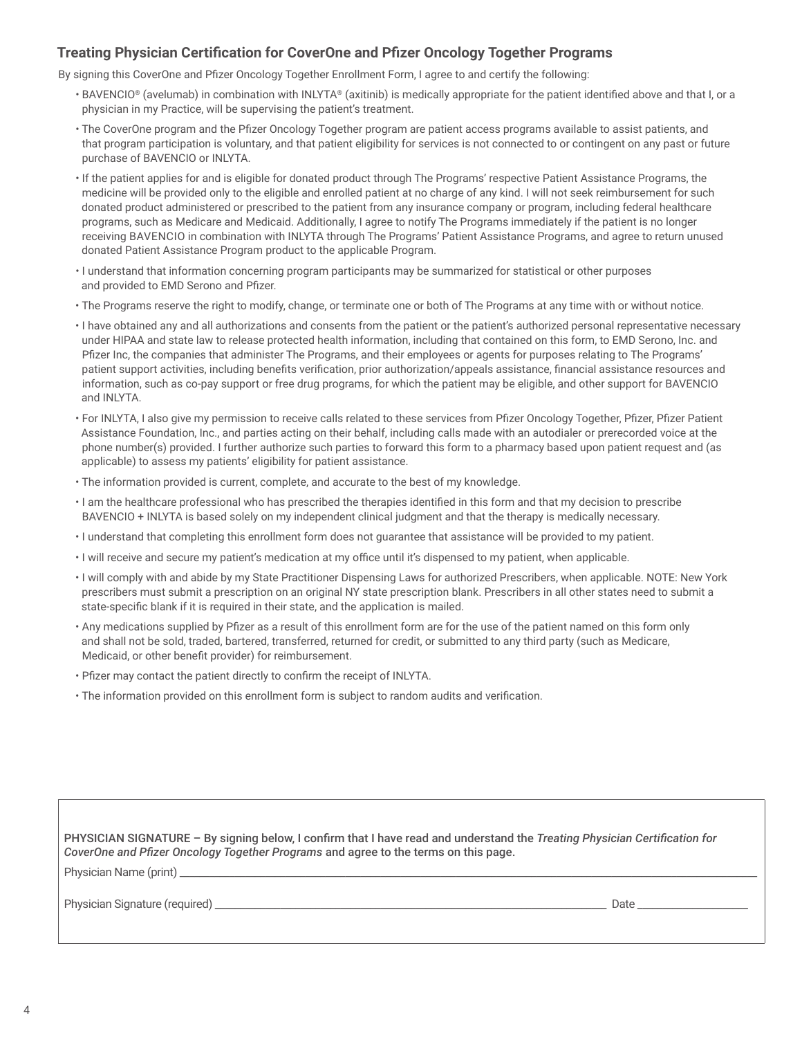## **Treating Physician Certification for CoverOne and Pfizer Oncology Together Programs**

By signing this CoverOne and Pfizer Oncology Together Enrollment Form, I agree to and certify the following:

- BAVENCIO® (avelumab) in combination with INLYTA® (axitinib) is medically appropriate for the patient identified above and that I, or a physician in my Practice, will be supervising the patient's treatment.
- The CoverOne program and the Pfizer Oncology Together program are patient access programs available to assist patients, and that program participation is voluntary, and that patient eligibility for services is not connected to or contingent on any past or future purchase of BAVENCIO or INLYTA.
- If the patient applies for and is eligible for donated product through The Programs' respective Patient Assistance Programs, the medicine will be provided only to the eligible and enrolled patient at no charge of any kind. I will not seek reimbursement for such donated product administered or prescribed to the patient from any insurance company or program, including federal healthcare programs, such as Medicare and Medicaid. Additionally, I agree to notify The Programs immediately if the patient is no longer receiving BAVENCIO in combination with INLYTA through The Programs' Patient Assistance Programs, and agree to return unused donated Patient Assistance Program product to the applicable Program.
- I understand that information concerning program participants may be summarized for statistical or other purposes and provided to EMD Serono and Pfizer.
- The Programs reserve the right to modify, change, or terminate one or both of The Programs at any time with or without notice.
- I have obtained any and all authorizations and consents from the patient or the patient's authorized personal representative necessary under HIPAA and state law to release protected health information, including that contained on this form, to EMD Serono, Inc. and Pfizer Inc, the companies that administer The Programs, and their employees or agents for purposes relating to The Programs' patient support activities, including benefits verification, prior authorization/appeals assistance, financial assistance resources and information, such as co-pay support or free drug programs, for which the patient may be eligible, and other support for BAVENCIO and INLYTA.
- For INLYTA, I also give my permission to receive calls related to these services from Pfizer Oncology Together, Pfizer, Pfizer Patient Assistance Foundation, Inc., and parties acting on their behalf, including calls made with an autodialer or prerecorded voice at the phone number(s) provided. I further authorize such parties to forward this form to a pharmacy based upon patient request and (as applicable) to assess my patients' eligibility for patient assistance.
- The information provided is current, complete, and accurate to the best of my knowledge.
- I am the healthcare professional who has prescribed the therapies identified in this form and that my decision to prescribe BAVENCIO + INLYTA is based solely on my independent clinical judgment and that the therapy is medically necessary.
- I understand that completing this enrollment form does not guarantee that assistance will be provided to my patient.
- I will receive and secure my patient's medication at my office until it's dispensed to my patient, when applicable.
- I will comply with and abide by my State Practitioner Dispensing Laws for authorized Prescribers, when applicable. NOTE: New York prescribers must submit a prescription on an original NY state prescription blank. Prescribers in all other states need to submit a state-specific blank if it is required in their state, and the application is mailed.
- Any medications supplied by Pfizer as a result of this enrollment form are for the use of the patient named on this form only and shall not be sold, traded, bartered, transferred, returned for credit, or submitted to any third party (such as Medicare, Medicaid, or other benefit provider) for reimbursement.
- Pfizer may contact the patient directly to confirm the receipt of INLYTA.
- The information provided on this enrollment form is subject to random audits and verification.

| PHYSICIAN SIGNATURE - By signing below, I confirm that I have read and understand the Treating Physician Certification for |
|----------------------------------------------------------------------------------------------------------------------------|
| CoverOne and Pfizer Oncology Together Programs and agree to the terms on this page.                                        |

Physician Name (print) \_

Physician Signature (required) \_\_\_\_\_\_\_\_\_\_\_\_\_\_\_\_\_\_\_\_\_\_\_\_\_\_\_\_\_\_\_\_\_\_\_\_\_\_\_\_\_\_\_\_\_\_\_\_\_\_\_\_\_\_\_\_\_\_\_\_\_\_\_\_\_\_\_\_\_\_\_\_\_\_\_\_\_\_ Date \_\_\_\_\_\_\_\_\_\_\_\_\_\_\_\_\_\_\_\_\_\_